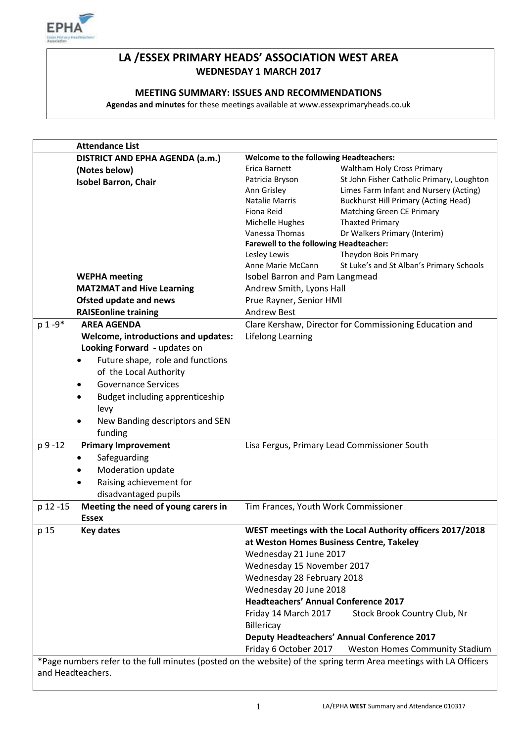

# **LA /ESSEX PRIMARY HEADS' ASSOCIATION WEST AREA WEDNESDAY 1 MARCH 2017**

## **MEETING SUMMARY: ISSUES AND RECOMMENDATIONS**

**Agendas and minutes** for these meetings available at www.essexprimaryheads.co.uk

|            | <b>Attendance List</b>                                                                                                                 |                                                    |                                                           |  |  |
|------------|----------------------------------------------------------------------------------------------------------------------------------------|----------------------------------------------------|-----------------------------------------------------------|--|--|
|            | DISTRICT AND EPHA AGENDA (a.m.)                                                                                                        | Welcome to the following Headteachers:             |                                                           |  |  |
|            | (Notes below)                                                                                                                          | Erica Barnett                                      | Waltham Holy Cross Primary                                |  |  |
|            | <b>Isobel Barron, Chair</b>                                                                                                            | Patricia Bryson                                    | St John Fisher Catholic Primary, Loughton                 |  |  |
|            |                                                                                                                                        | Ann Grisley                                        | Limes Farm Infant and Nursery (Acting)                    |  |  |
|            |                                                                                                                                        | Natalie Marris                                     | <b>Buckhurst Hill Primary (Acting Head)</b>               |  |  |
|            |                                                                                                                                        | Fiona Reid                                         | <b>Matching Green CE Primary</b>                          |  |  |
|            |                                                                                                                                        | Michelle Hughes                                    | <b>Thaxted Primary</b>                                    |  |  |
|            |                                                                                                                                        | Vanessa Thomas                                     | Dr Walkers Primary (Interim)                              |  |  |
|            |                                                                                                                                        | <b>Farewell to the following Headteacher:</b>      |                                                           |  |  |
|            |                                                                                                                                        | Lesley Lewis                                       | Theydon Bois Primary                                      |  |  |
|            |                                                                                                                                        | Anne Marie McCann                                  | St Luke's and St Alban's Primary Schools                  |  |  |
|            | <b>WEPHA</b> meeting                                                                                                                   | Isobel Barron and Pam Langmead                     |                                                           |  |  |
|            | <b>MAT2MAT and Hive Learning</b>                                                                                                       | Andrew Smith, Lyons Hall                           |                                                           |  |  |
|            | <b>Ofsted update and news</b>                                                                                                          | Prue Rayner, Senior HMI                            |                                                           |  |  |
|            | <b>RAISEonline training</b>                                                                                                            | <b>Andrew Best</b>                                 |                                                           |  |  |
| $p 1 - 9*$ | <b>AREA AGENDA</b>                                                                                                                     |                                                    | Clare Kershaw, Director for Commissioning Education and   |  |  |
|            |                                                                                                                                        |                                                    |                                                           |  |  |
|            | Welcome, introductions and updates:                                                                                                    | Lifelong Learning                                  |                                                           |  |  |
|            | Looking Forward - updates on                                                                                                           |                                                    |                                                           |  |  |
|            | Future shape, role and functions                                                                                                       |                                                    |                                                           |  |  |
|            | of the Local Authority                                                                                                                 |                                                    |                                                           |  |  |
|            | <b>Governance Services</b>                                                                                                             |                                                    |                                                           |  |  |
|            | Budget including apprenticeship                                                                                                        |                                                    |                                                           |  |  |
|            | levy                                                                                                                                   |                                                    |                                                           |  |  |
|            | New Banding descriptors and SEN                                                                                                        |                                                    |                                                           |  |  |
|            | funding                                                                                                                                |                                                    |                                                           |  |  |
| p 9 - 12   | <b>Primary Improvement</b>                                                                                                             |                                                    | Lisa Fergus, Primary Lead Commissioner South              |  |  |
|            |                                                                                                                                        |                                                    |                                                           |  |  |
|            | Safeguarding                                                                                                                           |                                                    |                                                           |  |  |
|            | Moderation update                                                                                                                      |                                                    |                                                           |  |  |
|            | Raising achievement for                                                                                                                |                                                    |                                                           |  |  |
|            | disadvantaged pupils                                                                                                                   |                                                    |                                                           |  |  |
| p 12 -15   | Meeting the need of young carers in                                                                                                    | Tim Frances, Youth Work Commissioner               |                                                           |  |  |
|            | <b>Essex</b>                                                                                                                           |                                                    |                                                           |  |  |
| p 15       | <b>Key dates</b>                                                                                                                       |                                                    | WEST meetings with the Local Authority officers 2017/2018 |  |  |
|            |                                                                                                                                        |                                                    | at Weston Homes Business Centre, Takeley                  |  |  |
|            |                                                                                                                                        | Wednesday 21 June 2017                             |                                                           |  |  |
|            |                                                                                                                                        | Wednesday 15 November 2017                         |                                                           |  |  |
|            |                                                                                                                                        | Wednesday 28 February 2018                         |                                                           |  |  |
|            |                                                                                                                                        |                                                    |                                                           |  |  |
|            |                                                                                                                                        | Wednesday 20 June 2018                             |                                                           |  |  |
|            |                                                                                                                                        | <b>Headteachers' Annual Conference 2017</b>        |                                                           |  |  |
|            |                                                                                                                                        | Friday 14 March 2017                               | Stock Brook Country Club, Nr                              |  |  |
|            |                                                                                                                                        | Billericay                                         |                                                           |  |  |
|            |                                                                                                                                        | <b>Deputy Headteachers' Annual Conference 2017</b> |                                                           |  |  |
|            |                                                                                                                                        | Friday 6 October 2017                              | <b>Weston Homes Community Stadium</b>                     |  |  |
|            |                                                                                                                                        |                                                    |                                                           |  |  |
|            | *Page numbers refer to the full minutes (posted on the website) of the spring term Area meetings with LA Officers<br>and Headteachers. |                                                    |                                                           |  |  |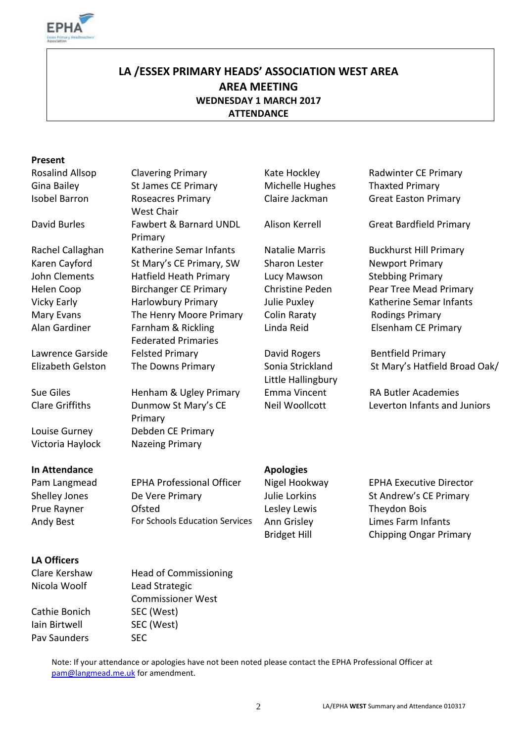

# **LA /ESSEX PRIMARY HEADS' ASSOCIATION WEST AREA AREA MEETING WEDNESDAY 1 MARCH 2017 ATTENDANCE**

#### **Present**

Gina Bailey **St James CE Primary** Michelle Hughes Thaxted Primary Isobel Barron Roseacres Primary David Burles Fawbert & Barnard UNDL Rachel Callaghan Katherine Semar Infants Natalie Marris Buckhurst Hill Primary Karen Cayford St Mary's CE Primary, SW Sharon Lester Newport Primary John Clements Hatfield Heath Primary Lucy Mawson Stebbing Primary Helen Coop Birchanger CE Primary Christine Peden Pear Tree Mead Primary Vicky Early **Harlowbury Primary** Julie Puxley **Katherine Semar Infants** Mary Evans The Henry Moore Primary Colin Raraty Bodings Primary Alan Gardiner Farnham & Rickling Lawrence Garside dialected Primary **Carry Contract Contract Contract Accord Primary** David Rogers Bentfield Primary

#### **In Attendance Apologies**

### **LA Officers**

Clare Kershaw Head of Commissioning Nicola Woolf Lead Strategic

Cathie Bonich SEC (West) Iain Birtwell SEC (West) Pav Saunders SEC

Rosalind Allsop Clavering Primary The Kate Hockley The Radwinter CE Primary West Chair Primary Federated Primaries

Clare Griffiths Dunmow St Mary's CE Primary Louise Gurney Debden CE Primary Victoria Haylock Nazeing Primary

Commissioner West

Little Hallingbury

Claire Jackman Great Easton Primary

Alison Kerrell Great Bardfield Primary

Linda Reid Elsenham CE Primary

Elizabeth Gelston The Downs Primary Sonia Strickland St Mary's Hatfield Broad Oak/

Sue Giles Henham & Ugley Primary Emma Vincent RA Butler Academies Neil Woollcott Leverton Infants and Juniors

Prue Rayner **Constant Constant Constant Constant Constant Constant Constant Constant Constant Constant Constant** 

Pam Langmead EPHA Professional Officer Nigel Hookway EPHA Executive Director Shelley Jones **De Vere Primary Market Contract Andrew's CE Primary** Julie Lorkins St Andrew's CE Primary Andy Best For Schools Education Services Ann Grisley Limes Farm Infants Bridget Hill Chipping Ongar Primary

Note: If your attendance or apologies have not been noted please contact the EPHA Professional Officer at [pam@langmead.me.uk](mailto:pam@langmead.me.uk) for amendment.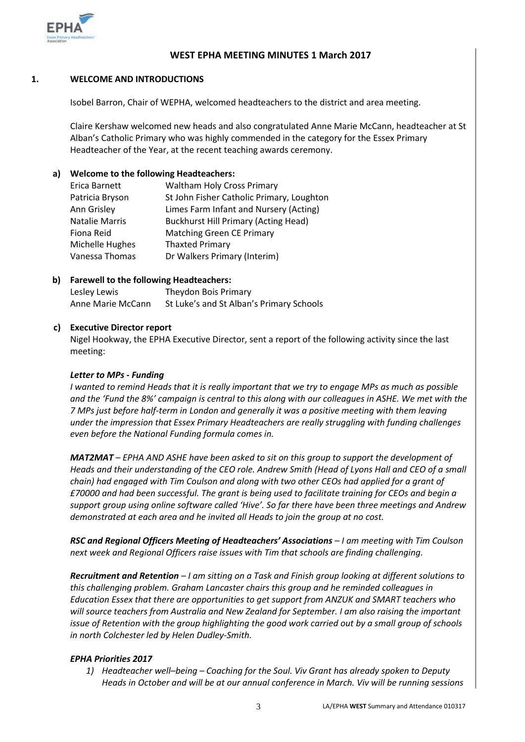

#### **WEST EPHA MEETING MINUTES 1 March 2017**

#### **1. WELCOME AND INTRODUCTIONS**

Isobel Barron, Chair of WEPHA, welcomed headteachers to the district and area meeting.

Claire Kershaw welcomed new heads and also congratulated Anne Marie McCann, headteacher at St Alban's Catholic Primary who was highly commended in the category for the Essex Primary Headteacher of the Year, at the recent teaching awards ceremony.

#### **a) Welcome to the following Headteachers:**

| Erica Barnett         | <b>Waltham Holy Cross Primary</b>           |
|-----------------------|---------------------------------------------|
| Patricia Bryson       | St John Fisher Catholic Primary, Loughton   |
| Ann Grisley           | Limes Farm Infant and Nursery (Acting)      |
| <b>Natalie Marris</b> | <b>Buckhurst Hill Primary (Acting Head)</b> |
| Fiona Reid            | <b>Matching Green CE Primary</b>            |
| Michelle Hughes       | <b>Thaxted Primary</b>                      |
| Vanessa Thomas        | Dr Walkers Primary (Interim)                |

#### **b) Farewell to the following Headteachers:**

| Lesley Lewis      | Theydon Bois Primary                     |
|-------------------|------------------------------------------|
| Anne Marie McCann | St Luke's and St Alban's Primary Schools |

#### **c) Executive Director report**

Nigel Hookway, the EPHA Executive Director, sent a report of the following activity since the last meeting:

#### *Letter to MPs - Funding*

*I wanted to remind Heads that it is really important that we try to engage MPs as much as possible and the 'Fund the 8%' campaign is central to this along with our colleagues in ASHE. We met with the 7 MPs just before half-term in London and generally it was a positive meeting with them leaving under the impression that Essex Primary Headteachers are really struggling with funding challenges even before the National Funding formula comes in.*

*MAT2MAT – EPHA AND ASHE have been asked to sit on this group to support the development of Heads and their understanding of the CEO role. Andrew Smith (Head of Lyons Hall and CEO of a small chain) had engaged with Tim Coulson and along with two other CEOs had applied for a grant of £70000 and had been successful. The grant is being used to facilitate training for CEOs and begin a support group using online software called 'Hive'. So far there have been three meetings and Andrew demonstrated at each area and he invited all Heads to join the group at no cost.*

*RSC and Regional Officers Meeting of Headteachers' Associations – I am meeting with Tim Coulson next week and Regional Officers raise issues with Tim that schools are finding challenging.*

*Recruitment and Retention – I am sitting on a Task and Finish group looking at different solutions to this challenging problem. Graham Lancaster chairs this group and he reminded colleagues in Education Essex that there are opportunities to get support from ANZUK and SMART teachers who will source teachers from Australia and New Zealand for September. I am also raising the important issue of Retention with the group highlighting the good work carried out by a small group of schools in north Colchester led by Helen Dudley-Smith.*

#### *EPHA Priorities 2017*

*1) Headteacher well–being – Coaching for the Soul. Viv Grant has already spoken to Deputy Heads in October and will be at our annual conference in March. Viv will be running sessions*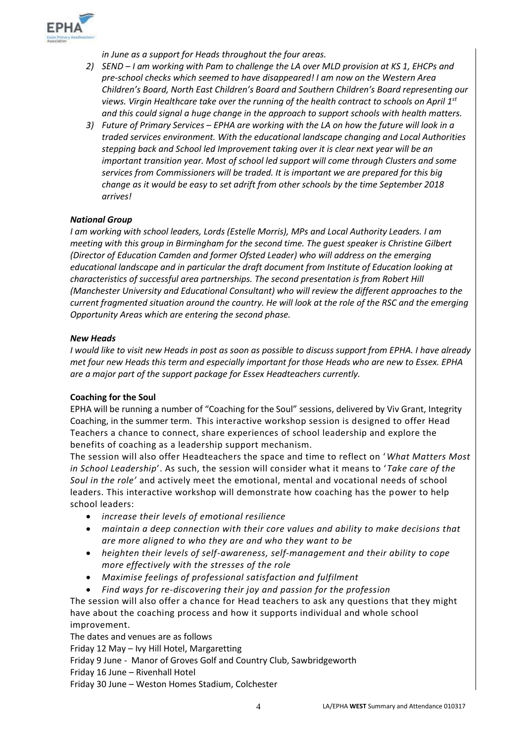

*in June as a support for Heads throughout the four areas.*

- *2) SEND – I am working with Pam to challenge the LA over MLD provision at KS 1, EHCPs and pre-school checks which seemed to have disappeared! I am now on the Western Area Children's Board, North East Children's Board and Southern Children's Board representing our views. Virgin Healthcare take over the running of the health contract to schools on April 1st and this could signal a huge change in the approach to support schools with health matters.*
- *3) Future of Primary Services – EPHA are working with the LA on how the future will look in a traded services environment. With the educational landscape changing and Local Authorities stepping back and School led Improvement taking over it is clear next year will be an important transition year. Most of school led support will come through Clusters and some services from Commissioners will be traded. It is important we are prepared for this big change as it would be easy to set adrift from other schools by the time September 2018 arrives!*

#### *National Group*

*I am working with school leaders, Lords (Estelle Morris), MPs and Local Authority Leaders. I am meeting with this group in Birmingham for the second time. The guest speaker is Christine Gilbert (Director of Education Camden and former Ofsted Leader) who will address on the emerging educational landscape and in particular the draft document from Institute of Education looking at characteristics of successful area partnerships. The second presentation is from Robert Hill (Manchester University and Educational Consultant) who will review the different approaches to the current fragmented situation around the country. He will look at the role of the RSC and the emerging Opportunity Areas which are entering the second phase.* 

#### *New Heads*

*I would like to visit new Heads in post as soon as possible to discuss support from EPHA. I have already met four new Heads this term and especially important for those Heads who are new to Essex. EPHA are a major part of the support package for Essex Headteachers currently.*

#### **Coaching for the Soul**

EPHA will be running a number of "Coaching for the Soul" sessions, delivered by Viv Grant, Integrity Coaching, in the summer term. This interactive workshop session is designed to offer Head Teachers a chance to connect, share experiences of school leadership and explore the benefits of coaching as a leadership support mechanism.

The session will also offer Headteachers the space and time to reflect on '*What Matters Most in School Leadership*'. As such, the session will consider what it means to '*Take care of the Soul in the role'* and actively meet the emotional, mental and vocational needs of school leaders. This interactive workshop will demonstrate how coaching has the power to help school leaders:

- *increase their levels of emotional resilience*
- *maintain a deep connection with their core values and ability to make decisions that are more aligned to who they are and who they want to be*
- *heighten their levels of self-awareness, self-management and their ability to cope more effectively with the stresses of the role*
- *Maximise feelings of professional satisfaction and fulfilment*
- *Find ways for re-discovering their joy and passion for the profession*

The session will also offer a chance for Head teachers to ask any questions that they might have about the coaching process and how it supports individual and whole school improvement.

The dates and venues are as follows Friday 12 May – Ivy Hill Hotel, Margaretting Friday 9 June - Manor of Groves Golf and Country Club, Sawbridgeworth Friday 16 June – Rivenhall Hotel Friday 30 June – Weston Homes Stadium, Colchester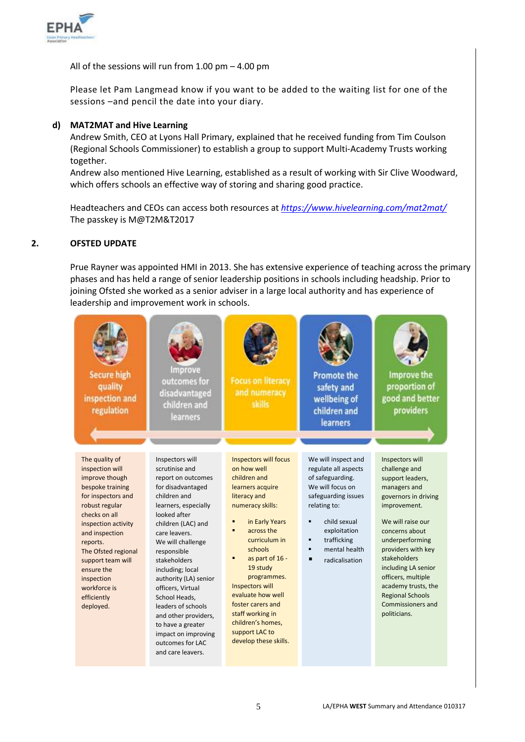

All of the sessions will run from 1.00 pm – 4.00 pm

Please let Pam Langmead know if you want to be added to the waiting list for one of the sessions –and pencil the date into your diary.

#### **d) MAT2MAT and Hive Learning**

Andrew Smith, CEO at Lyons Hall Primary, explained that he received funding from Tim Coulson (Regional Schools Commissioner) to establish a group to support Multi-Academy Trusts working together.

Andrew also mentioned Hive Learning, established as a result of working with Sir Clive Woodward, which offers schools an effective way of storing and sharing good practice.

Headteachers and CEOs can access both resources at *<https://www.hivelearning.com/mat2mat/>* The passkey is M@T2M&T2017

#### **2. OFSTED UPDATE**

Prue Rayner was appointed HMI in 2013. She has extensive experience of teaching across the primary phases and has held a range of senior leadership positions in schools including headship. Prior to joining Ofsted she worked as a senior adviser in a large local authority and has experience of leadership and improvement work in schools.

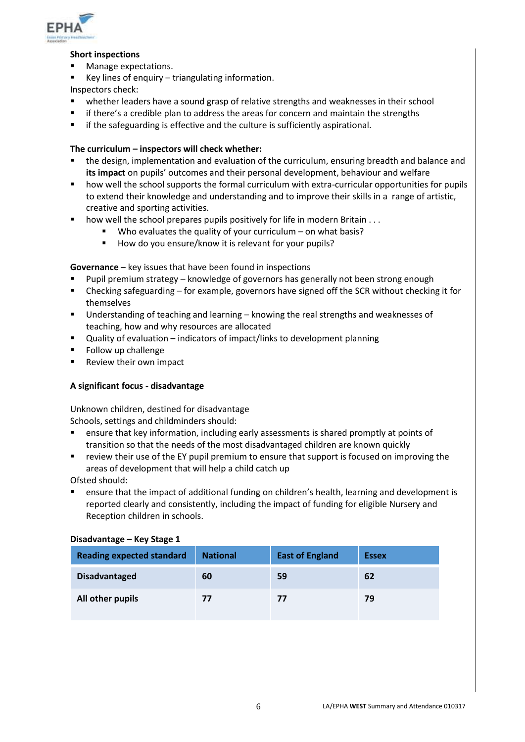

#### **Short inspections**

- **Manage expectations.**
- Key lines of enquiry triangulating information.
- Inspectors check:
- whether leaders have a sound grasp of relative strengths and weaknesses in their school
- if there's a credible plan to address the areas for concern and maintain the strengths
- if the safeguarding is effective and the culture is sufficiently aspirational.

#### **The curriculum – inspectors will check whether:**

- the design, implementation and evaluation of the curriculum, ensuring breadth and balance and **its impact** on pupils' outcomes and their personal development, behaviour and welfare
- how well the school supports the formal curriculum with extra-curricular opportunities for pupils to extend their knowledge and understanding and to improve their skills in a range of artistic, creative and sporting activities.
- $\blacksquare$  how well the school prepares pupils positively for life in modern Britain . . .
	- Who evaluates the quality of your curriculum on what basis?
	- How do you ensure/know it is relevant for your pupils?

**Governance** – key issues that have been found in inspections

- Pupil premium strategy knowledge of governors has generally not been strong enough
- Checking safeguarding for example, governors have signed off the SCR without checking it for themselves
- Understanding of teaching and learning knowing the real strengths and weaknesses of teaching, how and why resources are allocated
- Quality of evaluation indicators of impact/links to development planning
- Follow up challenge
- Review their own impact

#### **A significant focus - disadvantage**

Unknown children, destined for disadvantage

Schools, settings and childminders should:

- ensure that key information, including early assessments is shared promptly at points of transition so that the needs of the most disadvantaged children are known quickly
- review their use of the EY pupil premium to ensure that support is focused on improving the areas of development that will help a child catch up

Ofsted should:

 ensure that the impact of additional funding on children's health, learning and development is reported clearly and consistently, including the impact of funding for eligible Nursery and Reception children in schools.

#### **Disadvantage – Key Stage 1**

| <b>Reading expected standard</b> | <b>National</b> | <b>East of England</b> | <b>Essex</b> |
|----------------------------------|-----------------|------------------------|--------------|
| <b>Disadvantaged</b>             | 60              | 59                     | 62           |
| All other pupils                 | 77              | 77                     | 79           |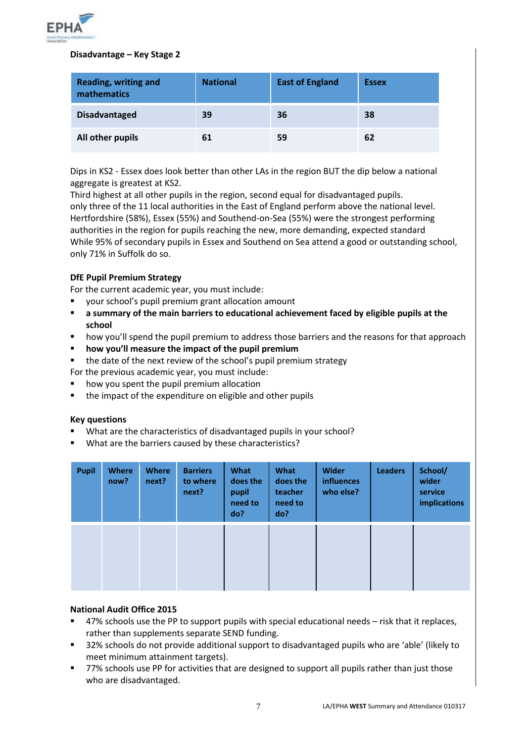

#### **Disadvantage – Key Stage 2**

| <b>Reading, writing and</b><br>mathematics | <b>National</b> | <b>East of England</b> | <b>Essex</b> |
|--------------------------------------------|-----------------|------------------------|--------------|
| <b>Disadvantaged</b>                       | 39              | 36                     | 38           |
| All other pupils                           | 61              | 59                     | 62           |

Dips in KS2 - Essex does look better than other LAs in the region BUT the dip below a national aggregate is greatest at KS2.

Third highest at all other pupils in the region, second equal for disadvantaged pupils. only three of the 11 local authorities in the East of England perform above the national level. Hertfordshire (58%), Essex (55%) and Southend-on-Sea (55%) were the strongest performing authorities in the region for pupils reaching the new, more demanding, expected standard While 95% of secondary pupils in Essex and Southend on Sea attend a good or outstanding school, only 71% in Suffolk do so.

#### **DfE Pupil Premium Strategy**

For the current academic year, you must include:

- your school's pupil premium grant allocation amount
- **a summary of the main barriers to educational achievement faced by eligible pupils at the school**
- how you'll spend the pupil premium to address those barriers and the reasons for that approach
- **how you'll measure the impact of the pupil premium**
- the date of the next review of the school's pupil premium strategy
- For the previous academic year, you must include:
- how you spent the pupil premium allocation
- the impact of the expenditure on eligible and other pupils

#### **Key questions**

- What are the characteristics of disadvantaged pupils in your school?
- What are the barriers caused by these characteristics?

| <b>Pupil</b> | <b>Where</b><br>now? | <b>Where</b><br>next? | <b>Barriers</b><br>to where<br>next? | What<br>does the<br>pupil<br>need to<br>do? | <b>What</b><br>does the<br>teacher<br>need to<br>do? | <b>Wider</b><br><b>influences</b><br>who else? | <b>Leaders</b> | School/<br>wider<br>service<br><b>implications</b> |
|--------------|----------------------|-----------------------|--------------------------------------|---------------------------------------------|------------------------------------------------------|------------------------------------------------|----------------|----------------------------------------------------|
|              |                      |                       |                                      |                                             |                                                      |                                                |                |                                                    |

#### **National Audit Office 2015**

- 47% schools use the PP to support pupils with special educational needs risk that it replaces, rather than supplements separate SEND funding.
- 32% schools do not provide additional support to disadvantaged pupils who are 'able' (likely to meet minimum attainment targets).
- 77% schools use PP for activities that are designed to support all pupils rather than just those who are disadvantaged.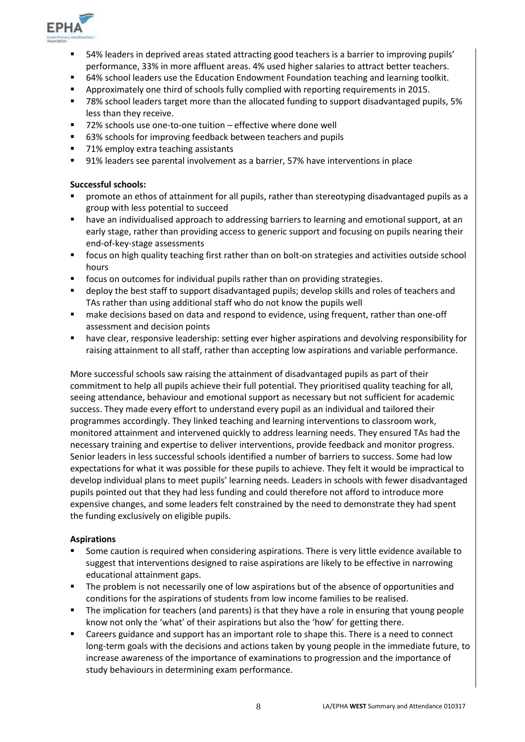

- 54% leaders in deprived areas stated attracting good teachers is a barrier to improving pupils' performance, 33% in more affluent areas. 4% used higher salaries to attract better teachers.
- 64% school leaders use the Education Endowment Foundation teaching and learning toolkit.
- Approximately one third of schools fully complied with reporting requirements in 2015.
- 78% school leaders target more than the allocated funding to support disadvantaged pupils, 5% less than they receive.
- 72% schools use one-to-one tuition effective where done well
- 63% schools for improving feedback between teachers and pupils
- 71% employ extra teaching assistants
- 91% leaders see parental involvement as a barrier, 57% have interventions in place

#### **Successful schools:**

- promote an ethos of attainment for all pupils, rather than stereotyping disadvantaged pupils as a group with less potential to succeed
- have an individualised approach to addressing barriers to learning and emotional support, at an early stage, rather than providing access to generic support and focusing on pupils nearing their end-of-key-stage assessments
- focus on high quality teaching first rather than on bolt-on strategies and activities outside school hours
- focus on outcomes for individual pupils rather than on providing strategies.
- deploy the best staff to support disadvantaged pupils; develop skills and roles of teachers and TAs rather than using additional staff who do not know the pupils well
- make decisions based on data and respond to evidence, using frequent, rather than one-off assessment and decision points
- **•** have clear, responsive leadership: setting ever higher aspirations and devolving responsibility for raising attainment to all staff, rather than accepting low aspirations and variable performance.

More successful schools saw raising the attainment of disadvantaged pupils as part of their commitment to help all pupils achieve their full potential. They prioritised quality teaching for all, seeing attendance, behaviour and emotional support as necessary but not sufficient for academic success. They made every effort to understand every pupil as an individual and tailored their programmes accordingly. They linked teaching and learning interventions to classroom work, monitored attainment and intervened quickly to address learning needs. They ensured TAs had the necessary training and expertise to deliver interventions, provide feedback and monitor progress. Senior leaders in less successful schools identified a number of barriers to success. Some had low expectations for what it was possible for these pupils to achieve. They felt it would be impractical to develop individual plans to meet pupils' learning needs. Leaders in schools with fewer disadvantaged pupils pointed out that they had less funding and could therefore not afford to introduce more expensive changes, and some leaders felt constrained by the need to demonstrate they had spent the funding exclusively on eligible pupils.

#### **Aspirations**

- Some caution is required when considering aspirations. There is very little evidence available to suggest that interventions designed to raise aspirations are likely to be effective in narrowing educational attainment gaps.
- The problem is not necessarily one of low aspirations but of the absence of opportunities and conditions for the aspirations of students from low income families to be realised.
- The implication for teachers (and parents) is that they have a role in ensuring that young people know not only the 'what' of their aspirations but also the 'how' for getting there.
- Careers guidance and support has an important role to shape this. There is a need to connect long-term goals with the decisions and actions taken by young people in the immediate future, to increase awareness of the importance of examinations to progression and the importance of study behaviours in determining exam performance.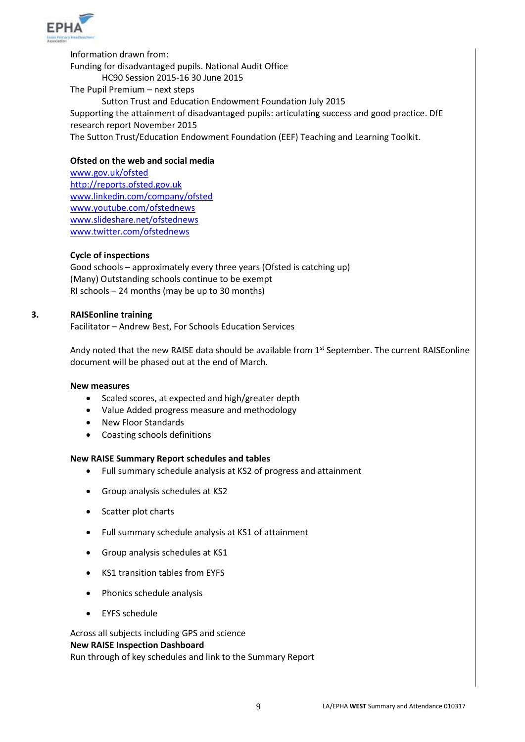

Information drawn from: Funding for disadvantaged pupils. National Audit Office HC90 Session 2015-16 30 June 2015 The Pupil Premium – next steps Sutton Trust and Education Endowment Foundation July 2015 Supporting the attainment of disadvantaged pupils: articulating success and good practice. DfE research report November 2015 The Sutton Trust/Education Endowment Foundation (EEF) Teaching and Learning Toolkit.

#### **Ofsted on the web and social media**

[www.gov.uk/ofsted](http://www.gov.uk/ofsted) [http://reports.ofsted.gov.uk](http://reports.ofsted.gov.uk/) [www.linkedin.com/company/ofsted](http://www.linkedin.com/company/ofsted) [www.youtube.com/ofstednews](http://www.youtube.com/ofstednews) [www.slideshare.net/ofstednews](http://www.slideshare.net/ofstednews) [www.twitter.com/ofstednews](http://www.twitter.com/ofstednews)

#### **Cycle of inspections**

Good schools – approximately every three years (Ofsted is catching up) (Many) Outstanding schools continue to be exempt RI schools – 24 months (may be up to 30 months)

#### **3. RAISEonline training**

Facilitator – Andrew Best, For Schools Education Services

Andy noted that the new RAISE data should be available from 1<sup>st</sup> September. The current RAISEonline document will be phased out at the end of March.

#### **New measures**

- Scaled scores, at expected and high/greater depth
- Value Added progress measure and methodology
- New Floor Standards
- Coasting schools definitions

#### **New RAISE Summary Report schedules and tables**

- Full summary schedule analysis at KS2 of progress and attainment
- Group analysis schedules at KS2
- Scatter plot charts
- Full summary schedule analysis at KS1 of attainment
- Group analysis schedules at KS1
- KS1 transition tables from EYFS
- Phonics schedule analysis
- FYFS schedule

Across all subjects including GPS and science **New RAISE Inspection Dashboard** Run through of key schedules and link to the Summary Report